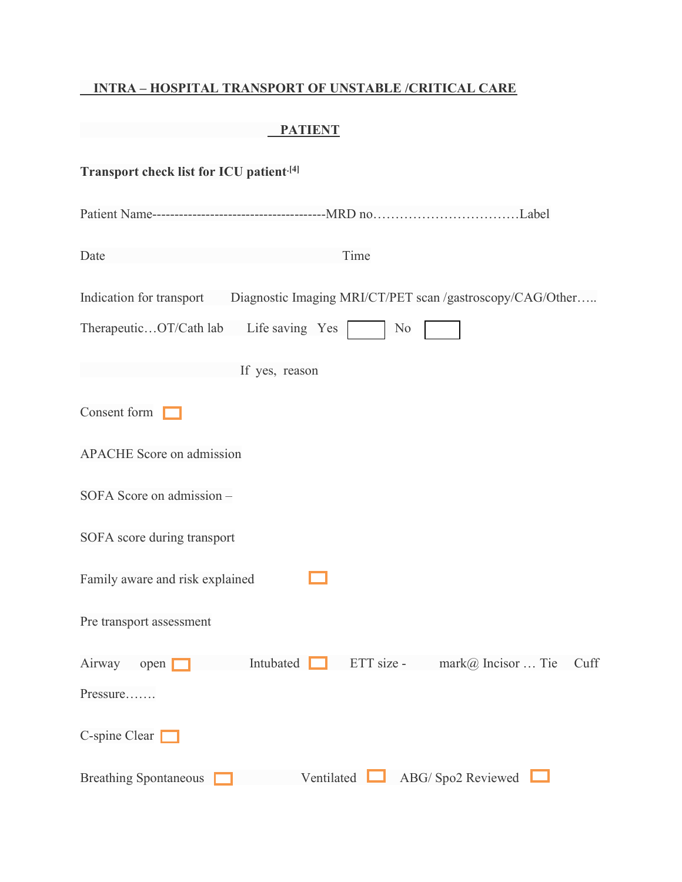#### INTRA – HOSPITAL TRANSPORT OF UNSTABLE /CRITICAL CARE

#### PATIENT

| Transport check list for ICU patient <sup>[4]</sup>                                |                                            |
|------------------------------------------------------------------------------------|--------------------------------------------|
|                                                                                    |                                            |
| Time<br>Date                                                                       |                                            |
| Indication for transport Diagnostic Imaging MRI/CT/PET scan /gastroscopy/CAG/Other |                                            |
| TherapeuticOT/Cath lab<br>Life saving Yes                                          | N <sub>o</sub>                             |
| If yes, reason                                                                     |                                            |
| Consent form                                                                       |                                            |
| <b>APACHE</b> Score on admission                                                   |                                            |
| SOFA Score on admission -                                                          |                                            |
| SOFA score during transport                                                        |                                            |
| Family aware and risk explained                                                    |                                            |
| Pre transport assessment                                                           |                                            |
| Intubated<br>Airway<br>open [                                                      | ETT size -<br>$mark@$ Incisor  Tie<br>Cuff |
| Pressure                                                                           |                                            |
| C-spine Clear                                                                      |                                            |
| Ventilated<br><b>Breathing Spontaneous</b>                                         | ABG/Spo2 Reviewed                          |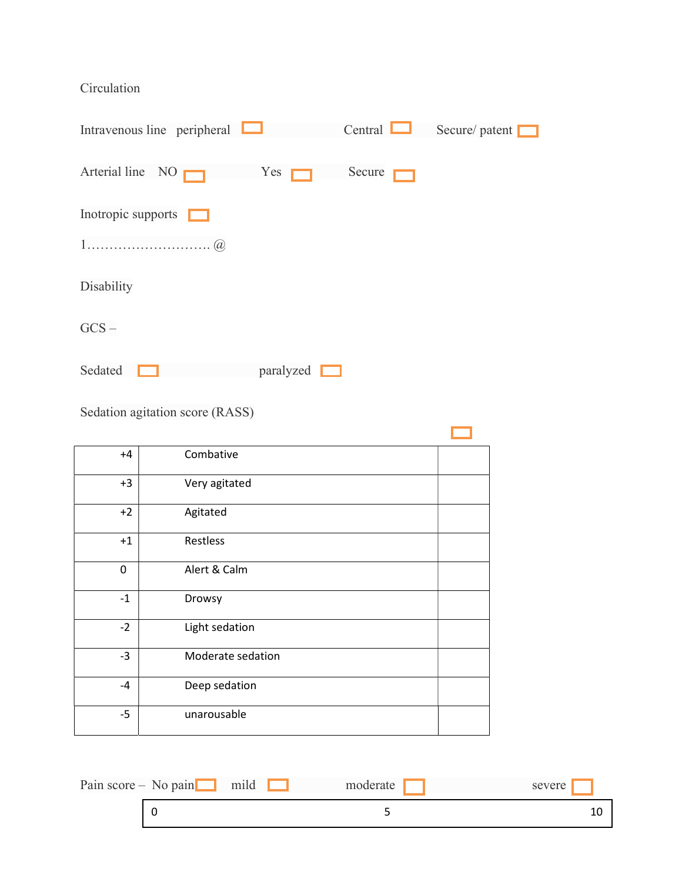### Circulation

| Intravenous line peripheral |           | Central | Secure/patent |
|-----------------------------|-----------|---------|---------------|
| Arterial line $NO \Box$     | Yes       | Secure  |               |
| Inotropic supports          |           |         |               |
|                             |           |         |               |
| Disability                  |           |         |               |
| $GCS -$                     |           |         |               |
| Sedated                     | paralyzed |         |               |

Sedation agitation score (RASS)

| $+4$ | Combative         |  |
|------|-------------------|--|
| $+3$ | Very agitated     |  |
| $+2$ | Agitated          |  |
| $+1$ | Restless          |  |
| 0    | Alert & Calm      |  |
| $-1$ | Drowsy            |  |
| $-2$ | Light sedation    |  |
| $-3$ | Moderate sedation |  |
| $-4$ | Deep sedation     |  |
| $-5$ | unarousable       |  |

| Pain score $-$ No pain | mild | moderate | severe |
|------------------------|------|----------|--------|
|                        |      |          |        |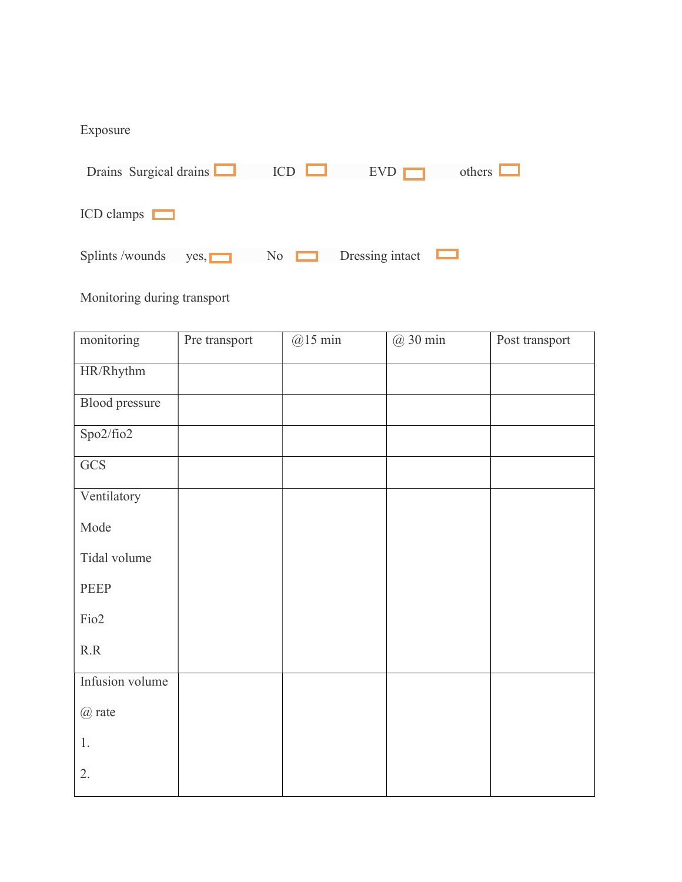## Exposure

| Drains Surgical drains           | ICD | EVD             | others |
|----------------------------------|-----|-----------------|--------|
| $ICD$ clamps $\Box$              |     |                 |        |
| Splints /wounds<br>$Yes, \Gamma$ | No  | Dressing intact |        |

# Monitoring during transport

| monitoring            | Pre transport | $@15$ min | @ 30 min | Post transport |
|-----------------------|---------------|-----------|----------|----------------|
| HR/Rhythm             |               |           |          |                |
| <b>Blood</b> pressure |               |           |          |                |
| Spo2/fio2             |               |           |          |                |
| GCS                   |               |           |          |                |
| Ventilatory           |               |           |          |                |
| Mode                  |               |           |          |                |
| Tidal volume          |               |           |          |                |
| PEEP                  |               |           |          |                |
| Fio <sub>2</sub>      |               |           |          |                |
| R.R                   |               |           |          |                |
| Infusion volume       |               |           |          |                |
| @ rate                |               |           |          |                |
| $1.$                  |               |           |          |                |
| 2.                    |               |           |          |                |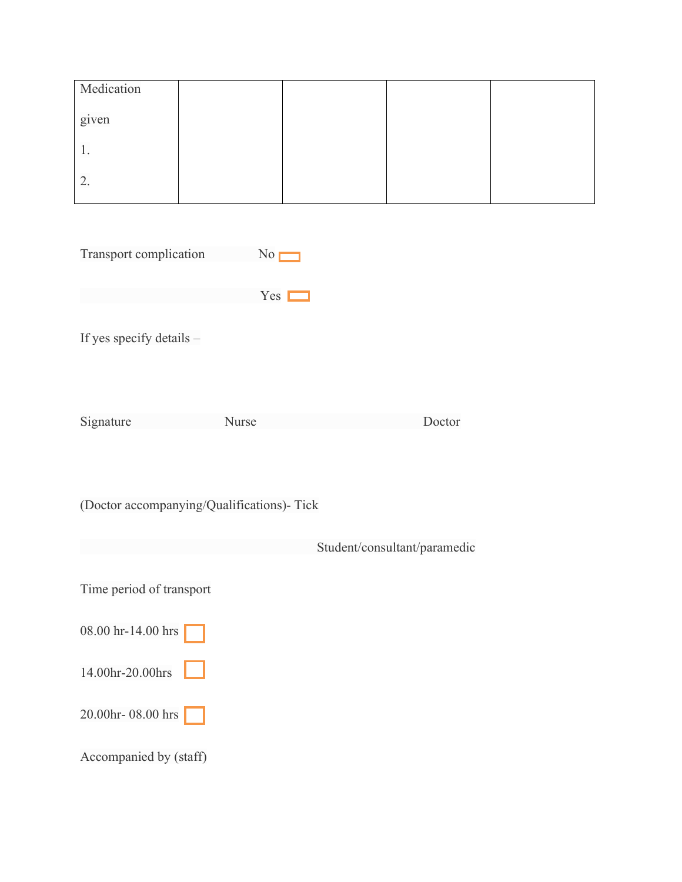| Medication |  |  |
|------------|--|--|
| given      |  |  |
| 1.         |  |  |
| 2.         |  |  |

| Transport complication | No         |
|------------------------|------------|
|                        | <b>Yes</b> |

If yes specify details –

Signature Nurse Doctor

(Doctor accompanying/Qualifications)- Tick

|                          | Student/consultant/paramedic |
|--------------------------|------------------------------|
|                          |                              |
| Time period of transport |                              |
|                          |                              |
| 08.00 hr-14.00 hrs       |                              |
|                          |                              |
| 14.00hr-20.00hrs         |                              |
|                          |                              |
| 20.00 $hr - 08.00$ hrs   |                              |
|                          |                              |
| Accompanied by (staff)   |                              |